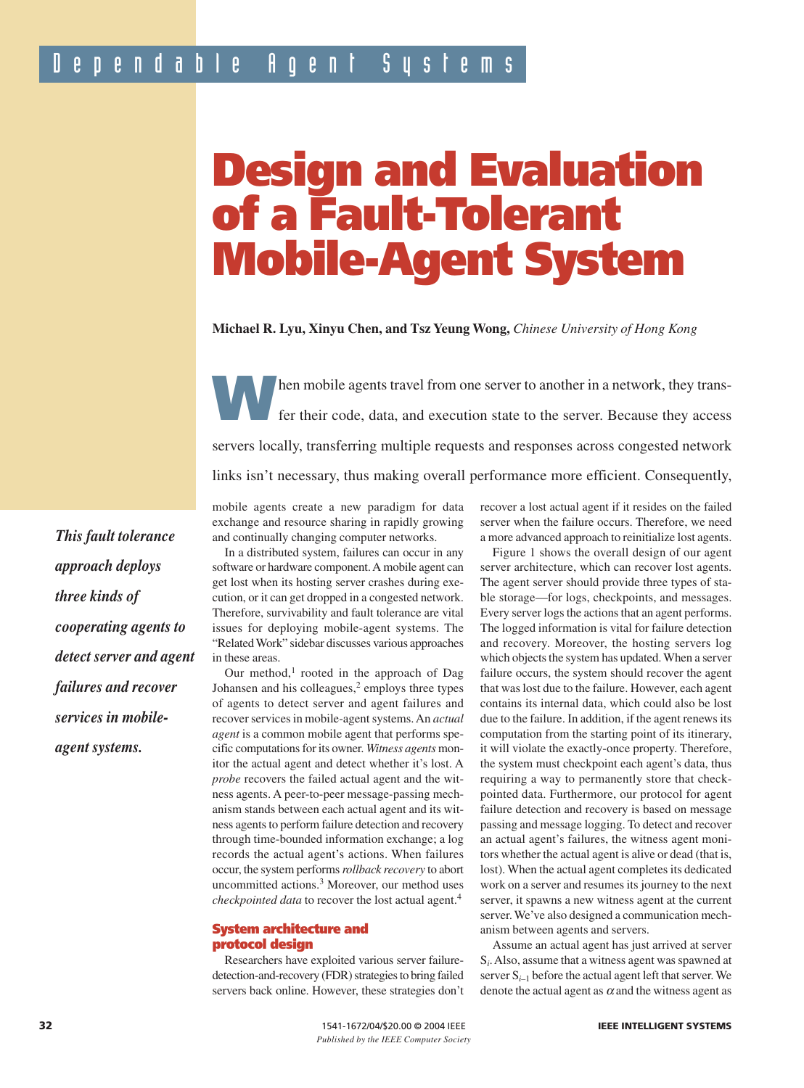# **Design and Evaluation of a Fault-Tolerant Mobile-Agent System**

**Michael R. Lyu, Xinyu Chen, and Tsz Yeung Wong,** *Chinese University of Hong Kong*

**W**hen mobile agents travel from one server to another in a network, they trans-<br>fer their code, data, and execution state to the server. Because they access servers locally, transferring multiple requests and responses across congested network links isn't necessary, thus making overall performance more efficient. Consequently,

*This fault tolerance approach deploys three kinds of cooperating agents to detect server and agent failures and recover services in mobileagent systems.*

mobile agents create a new paradigm for data exchange and resource sharing in rapidly growing and continually changing computer networks.

In a distributed system, failures can occur in any software or hardware component. A mobile agent can get lost when its hosting server crashes during execution, or it can get dropped in a congested network. Therefore, survivability and fault tolerance are vital issues for deploying mobile-agent systems. The "Related Work" sidebar discusses various approaches in these areas.

Our method, $1$  rooted in the approach of Dag Johansen and his colleagues, $2$  employs three types of agents to detect server and agent failures and recover services in mobile-agent systems. An *actual agent* is a common mobile agent that performs specific computations for its owner. *Witness agents* monitor the actual agent and detect whether it's lost. A *probe* recovers the failed actual agent and the witness agents. A peer-to-peer message-passing mechanism stands between each actual agent and its witness agents to perform failure detection and recovery through time-bounded information exchange; a log records the actual agent's actions. When failures occur, the system performs *rollback recovery* to abort uncommitted actions.<sup>3</sup> Moreover, our method uses *checkpointed data* to recover the lost actual agent.<sup>4</sup>

#### **System architecture and protocol design**

Researchers have exploited various server failuredetection-and-recovery (FDR) strategies to bring failed servers back online. However, these strategies don't recover a lost actual agent if it resides on the failed server when the failure occurs. Therefore, we need a more advanced approach to reinitialize lost agents.

Figure 1 shows the overall design of our agent server architecture, which can recover lost agents. The agent server should provide three types of stable storage—for logs, checkpoints, and messages. Every server logs the actions that an agent performs. The logged information is vital for failure detection and recovery. Moreover, the hosting servers log which objects the system has updated. When a server failure occurs, the system should recover the agent that was lost due to the failure. However, each agent contains its internal data, which could also be lost due to the failure. In addition, if the agent renews its computation from the starting point of its itinerary, it will violate the exactly-once property. Therefore, the system must checkpoint each agent's data, thus requiring a way to permanently store that checkpointed data. Furthermore, our protocol for agent failure detection and recovery is based on message passing and message logging. To detect and recover an actual agent's failures, the witness agent monitors whether the actual agent is alive or dead (that is, lost). When the actual agent completes its dedicated work on a server and resumes its journey to the next server, it spawns a new witness agent at the current server. We've also designed a communication mechanism between agents and servers.

Assume an actual agent has just arrived at server S*i* . Also, assume that a witness agent was spawned at server  $S_{i-1}$  before the actual agent left that server. We denote the actual agent as  $\alpha$  and the witness agent as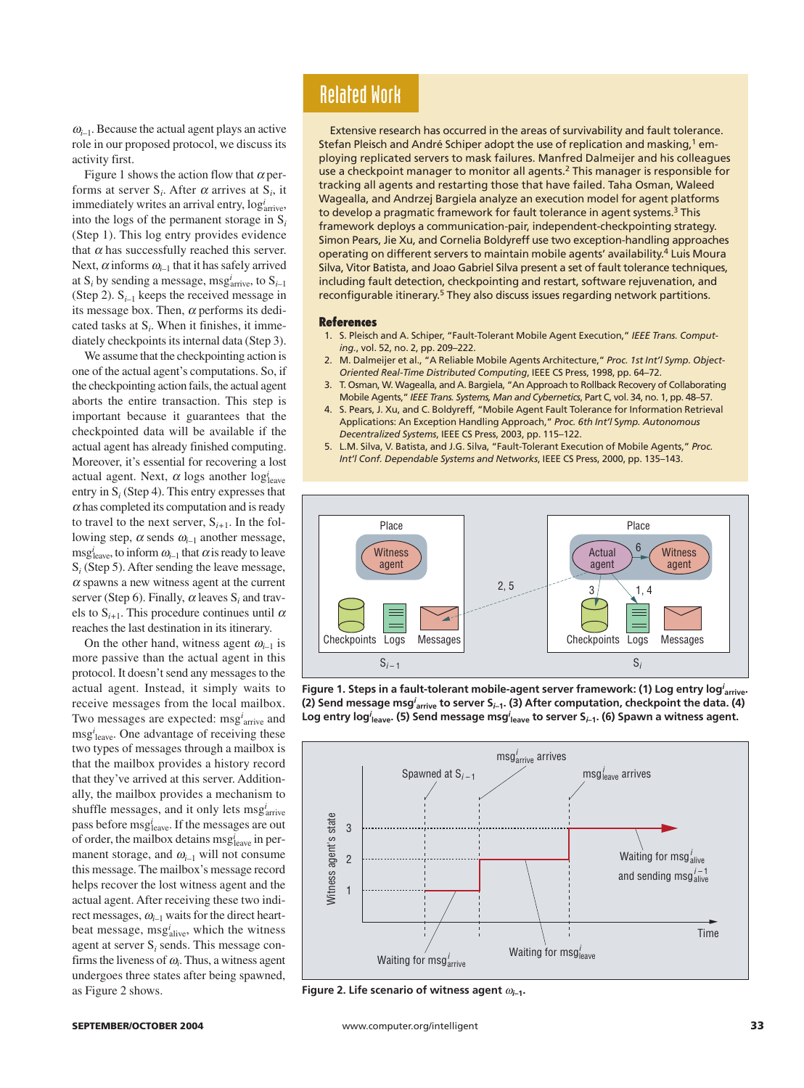<sup>ω</sup>*i–*1. Because the actual agent plays an active role in our proposed protocol, we discuss its activity first.

Figure 1 shows the action flow that  $\alpha$  performs at server  $S_i$ . After  $\alpha$  arrives at  $S_i$ , it immediately writes an arrival entry,  $log_{\text{arrive}}^i$ , into the logs of the permanent storage in S*<sup>i</sup>* (Step 1). This log entry provides evidence that  $\alpha$  has successfully reached this server. Next,  $\alpha$  informs  $\omega_{i-1}$  that it has safely arrived at S*<sup>i</sup>* by sending a message, msg*<sup>i</sup>* arrive, to S*i–*<sup>1</sup> (Step 2).  $S_{i-1}$  keeps the received message in its message box. Then,  $\alpha$  performs its dedicated tasks at S*<sup>i</sup>* . When it finishes, it immediately checkpoints its internal data (Step 3).

We assume that the checkpointing action is one of the actual agent's computations. So, if the checkpointing action fails, the actual agent aborts the entire transaction. This step is important because it guarantees that the checkpointed data will be available if the actual agent has already finished computing. Moreover, it's essential for recovering a lost actual agent. Next,  $\alpha$  logs another  $log_{\text{leave}}^i$ entry in S*<sup>i</sup>* (Step 4). This entry expresses that  $\alpha$  has completed its computation and is ready to travel to the next server,  $S_{i+1}$ . In the following step,  $\alpha$  sends  $\omega_{i-1}$  another message, msg<sup>*i*</sup><sub>leave</sub>, to inform  $\omega_{i-1}$  that  $\alpha$  is ready to leave S*<sup>i</sup>* (Step 5). After sending the leave message,  $\alpha$  spawns a new witness agent at the current server (Step 6). Finally,  $\alpha$  leaves  $S_i$  and travels to  $S_{i+1}$ . This procedure continues until  $\alpha$ reaches the last destination in its itinerary.

On the other hand, witness agent  $\omega_{i-1}$  is more passive than the actual agent in this protocol. It doesn't send any messages to the actual agent. Instead, it simply waits to receive messages from the local mailbox. Two messages are expected: msg<sup>*i*</sup><sub>arrive</sub> and msg*<sup>i</sup>* leave. One advantage of receiving these two types of messages through a mailbox is that the mailbox provides a history record that they've arrived at this server. Additionally, the mailbox provides a mechanism to shuffle messages, and it only lets msg<sub>arrive</sub> pass before msg<sup>i</sup><sub>leave</sub>. If the messages are out of order, the mailbox detains msg*<sup>i</sup>* leave in permanent storage, and  $\omega_{i-1}$  will not consume this message. The mailbox's message record helps recover the lost witness agent and the actual agent. After receiving these two indirect messages, <sup>ω</sup>*i–*<sup>1</sup> waits for the direct heartbeat message, msg<sup>*i*</sup><sub>alive</sub>, which the witness agent at server S*<sup>i</sup>* sends. This message confirms the liveness of  $\omega$ <sub>*i*</sub>. Thus, a witness agent undergoes three states after being spawned, as Figure 2 shows.

## Related Work

Extensive research has occurred in the areas of survivability and fault tolerance. Stefan Pleisch and André Schiper adopt the use of replication and masking,<sup>1</sup> employing replicated servers to mask failures. Manfred Dalmeijer and his colleagues use a checkpoint manager to monitor all agents.<sup>2</sup> This manager is responsible for tracking all agents and restarting those that have failed. Taha Osman, Waleed Wagealla, and Andrzej Bargiela analyze an execution model for agent platforms to develop a pragmatic framework for fault tolerance in agent systems.<sup>3</sup> This framework deploys a communication-pair, independent-checkpointing strategy. Simon Pears, Jie Xu, and Cornelia Boldyreff use two exception-handling approaches operating on different servers to maintain mobile agents' availability.4 Luis Moura Silva, Vitor Batista, and Joao Gabriel Silva present a set of fault tolerance techniques, including fault detection, checkpointing and restart, software rejuvenation, and reconfigurable itinerary.<sup>5</sup> They also discuss issues regarding network partitions.

#### **References**

- 1. S. Pleisch and A. Schiper, "Fault-Tolerant Mobile Agent Execution," *IEEE Trans. Computing.*, vol. 52, no. 2, pp. 209–222.
- 2. M. Dalmeijer et al., "A Reliable Mobile Agents Architecture," *Proc. 1st Int'l Symp. Object-Oriented Real-Time Distributed Computing*, IEEE CS Press, 1998, pp. 64–72.
- 3. T. Osman, W. Wagealla, and A. Bargiela, "An Approach to Rollback Recovery of Collaborating Mobile Agents," *IEEE Trans. Systems, Man and Cybernetics*, Part C, vol. 34, no. 1, pp. 48–57.
- 4. S. Pears, J. Xu, and C. Boldyreff, "Mobile Agent Fault Tolerance for Information Retrieval Applications: An Exception Handling Approach," *Proc. 6th Int'l* S*ymp. Autonomous Decentralized Systems*, IEEE CS Press, 2003, pp. 115–122.
- 5. L.M. Silva, V. Batista, and J.G. Silva, "Fault-Tolerant Execution of Mobile Agents," *Proc. Int'l Conf. Dependable Systems and Networks*, IEEE CS Press, 2000, pp. 135–143.



**Figure 1. Steps in a fault-tolerant mobile-agent server framework: (1) Log entry log***<sup>i</sup>* **arrive. (2) Send message msg***<sup>i</sup>* **arrive to server S***i***–1. (3) After computation, checkpoint the data. (4)** Log entry log ${}^{i}{}_{\mathsf{leave}}$ . (5) Send message msg ${}^{i}{}_{\mathsf{leave}}$  to server S<sub>*i*–1</sub>. (6) Spawn a witness agent.



**Figure 2. Life scenario of witness agent** <sup>ω</sup>*i***–1.**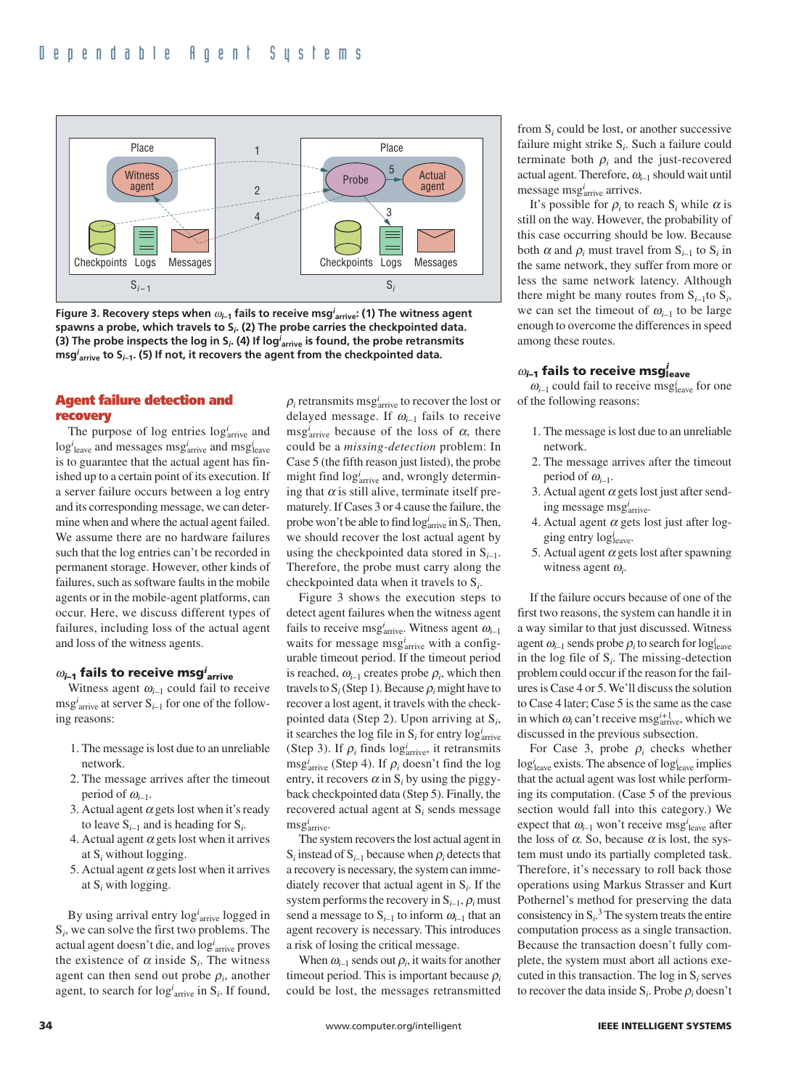

**Figure 3. Recovery steps when** <sup>ω</sup>*i–***<sup>1</sup> fails to receive msg***<sup>i</sup>* **arrive: (1) The witness agent spawns a probe, which travels to S***<sup>i</sup>* **. (2) The probe carries the checkpointed data. (3) The probe inspects the log in S***<sup>i</sup>* **. (4) If log***<sup>i</sup>* **arrive is found, the probe retransmits msg***<sup>i</sup>* **arrive to S***i***–1. (5) If not, it recovers the agent from the checkpointed data.**

#### **Agent failure detection and recovery**

The purpose of  $log$  entries  $log<sub>arrive</sub><sup>i</sup>$  and  $\log_{i}^{i}$ <sub>leave</sub> and messages  $\mathrm{msg}_{\mathrm{arrive}}^{i}$  and  $\mathrm{msg}_{\mathrm{leave}}^{i}$ is to guarantee that the actual agent has finished up to a certain point of its execution. If a server failure occurs between a log entry and its corresponding message, we can determine when and where the actual agent failed. We assume there are no hardware failures such that the log entries can't be recorded in permanent storage. However, other kinds of failures, such as software faults in the mobile agents or in the mobile-agent platforms, can occur. Here, we discuss different types of failures, including loss of the actual agent and loss of the witness agents.

#### $\omega_{i\text{-}1}$  fails to receive msg $^i$ <sub>arrive</sub>

Witness agent  $\omega_{i-1}$  could fail to receive msg*<sup>i</sup>* arrive at server S*i–*<sup>1</sup> for one of the following reasons:

- 1. The message is lost due to an unreliable network.
- 2. The message arrives after the timeout period of  $\omega_{i-1}$ .
- 3. Actual agent  $\alpha$  gets lost when it's ready to leave S*i–*<sup>1</sup> and is heading for S*<sup>i</sup>* .
- 4. Actual agent  $\alpha$  gets lost when it arrives at S*<sup>i</sup>* without logging.
- 5. Actual agent  $\alpha$  gets lost when it arrives at S*<sup>i</sup>* with logging.

By using arrival entry log*<sup>i</sup>* arrive logged in S*i*, we can solve the first two problems. The actual agent doesn't die, and log*<sup>i</sup>* arrive proves the existence of  $\alpha$  inside  $S_i$ . The witness agent can then send out probe  $\rho_i$ , another agent, to search for  $\log_{i}^{i}$  arrive in  $S_{i}$ . If found,

 $\rho_i$  retransmits msg<sup>*i*</sup><sub>arrive</sub> to recover the lost or delayed message. If  $\omega_{i-1}$  fails to receive  $\text{msg}_{\text{arrive}}^i$  because of the loss of  $\alpha$ , there could be a *missing-detection* problem: In Case 5 (the fifth reason just listed), the probe might find  $log_{\text{arrive}}^i$  and, wrongly determining that  $\alpha$  is still alive, terminate itself prematurely. If Cases 3 or 4 cause the failure, the probe won't be able to find  $log_{\text{arrive}}^i$  in  $S_i$ . Then, we should recover the lost actual agent by using the checkpointed data stored in S*i–*1. Therefore, the probe must carry along the checkpointed data when it travels to S*i*.

Figure 3 shows the execution steps to detect agent failures when the witness agent fails to receive msg*<sup>i</sup>* arrive. Witness agent <sup>ω</sup>*i–*<sup>1</sup> waits for message msg<sup>*i*</sup><sub>arrive</sub> with a configurable timeout period. If the timeout period is reached,  $\omega_{i-1}$  creates probe  $\rho_i$ , which then travels to  $S_i$  (Step 1). Because  $\rho_i$  might have to recover a lost agent, it travels with the checkpointed data (Step 2). Upon arriving at S*i*, it searches the log file in  $S_i$  for entry  $\log_{\text{arrive}}^i$ (Step 3). If  $\rho_i$  finds  $\log_{\text{arrive}}^i$ , it retransmits  $\text{msg}_{\text{arrive}}^i$  (Step 4). If  $\rho_i$  doesn't find the log entry, it recovers  $\alpha$  in  $S_i$  by using the piggyback checkpointed data (Step 5). Finally, the recovered actual agent at S*<sup>i</sup>* sends message msg*<sup>i</sup>* arrive.

The system recovers the lost actual agent in  $S_i$  instead of  $S_{i-1}$  because when  $\rho_i$  detects that a recovery is necessary, the system can immediately recover that actual agent in S*<sup>i</sup>* . If the system performs the recovery in  $S_{i-1}$ ,  $\rho_i$  must send a message to  $S_{i-1}$  to inform  $\omega_{i-1}$  that an agent recovery is necessary. This introduces a risk of losing the critical message.

When  $\omega_{i-1}$  sends out  $\rho_i$ , it waits for another timeout period. This is important because  $\rho_i$ could be lost, the messages retransmitted from S*<sup>i</sup>* could be lost, or another successive failure might strike S*<sup>i</sup>* . Such a failure could terminate both  $\rho_i$  and the just-recovered actual agent. Therefore, <sup>ω</sup>*i–*<sup>1</sup> should wait until message msg<sup>*i*</sup><sub>arrive</sub> arrives.

It's possible for  $\rho_i$  to reach  $S_i$  while  $\alpha$  is still on the way. However, the probability of this case occurring should be low. Because both  $\alpha$  and  $\rho_i$  must travel from  $S_{i-1}$  to  $S_i$  in the same network, they suffer from more or less the same network latency. Although there might be many routes from  $S_{i-1}$ to  $S_i$ , we can set the timeout of  $\omega_{i-1}$  to be large enough to overcome the differences in speed among these routes.

#### $\omega_{i-1}$  fails to receive msg $_{\mathsf{leave}}^i$

 $\omega_{i-1}$  could fail to receive msg<sub>leave</sub> for one of the following reasons:

- 1. The message is lost due to an unreliable network.
- 2. The message arrives after the timeout period of  $\omega_{i-1}$ .
- 3. Actual agent  $\alpha$  gets lost just after sending message msg*<sup>i</sup>* arrive.
- 4. Actual agent  $\alpha$  gets lost just after logging entry log<sub>leave</sub>.
- 5. Actual agent  $\alpha$  gets lost after spawning witness agent <sup>ω</sup>*<sup>i</sup>* .

If the failure occurs because of one of the first two reasons, the system can handle it in a way similar to that just discussed. Witness agent  $\omega_{i-1}$  sends probe  $\rho_i$  to search for log<sup>*i*</sup><sub>leave</sub> in the log file of  $S_i$ . The missing-detection problem could occur if the reason for the failures is Case 4 or 5. We'll discuss the solution to Case 4 later; Case 5 is the same as the case in which  $\omega_i$  can't receive msg<sup>*i*+1</sup> which we discussed in the previous subsection.

For Case 3, probe  $\rho_i$  checks whether log<sub>leave</sub> exists. The absence of log<sub>leave</sub> implies that the actual agent was lost while performing its computation. (Case 5 of the previous section would fall into this category.) We expect that  $\omega_{i-1}$  won't receive msg<sup>*i*</sup><sub>leave</sub> after the loss of  $\alpha$ . So, because  $\alpha$  is lost, the system must undo its partially completed task. Therefore, it's necessary to roll back those operations using Markus Strasser and Kurt Pothernel's method for preserving the data consistency in  $S_i$ <sup>3</sup>. The system treats the entire computation process as a single transaction. Because the transaction doesn't fully complete, the system must abort all actions executed in this transaction. The log in S*<sup>i</sup>* serves to recover the data inside  $S_i$ . Probe  $\rho_i$  doesn't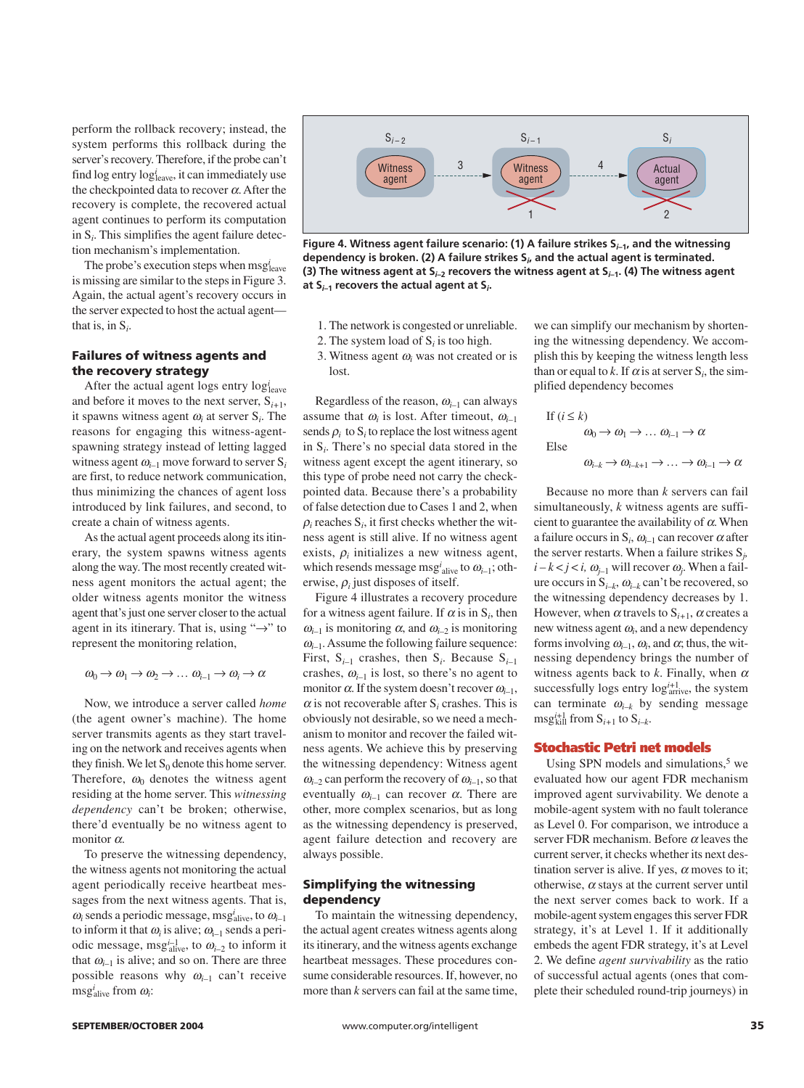perform the rollback recovery; instead, the system performs this rollback during the server's recovery. Therefore, if the probe can't find log entry log<sub>leave</sub>, it can immediately use the checkpointed data to recover  $\alpha$ . After the recovery is complete, the recovered actual agent continues to perform its computation in S*<sup>i</sup>* . This simplifies the agent failure detection mechanism's implementation.

The probe's execution steps when msgleave is missing are similar to the steps in Figure 3. Again, the actual agent's recovery occurs in the server expected to host the actual agent that is, in S*<sup>i</sup>* .

#### **Failures of witness agents and the recovery strategy**

After the actual agent logs entry log<sub>leave</sub> and before it moves to the next server,  $S_{i+1}$ , it spawns witness agent <sup>ω</sup>*<sup>i</sup>* at server S*<sup>i</sup>* . The reasons for engaging this witness-agentspawning strategy instead of letting lagged witness agent  $\omega_{i-1}$  move forward to server  $S_i$ are first, to reduce network communication, thus minimizing the chances of agent loss introduced by link failures, and second, to create a chain of witness agents.

As the actual agent proceeds along its itinerary, the system spawns witness agents along the way. The most recently created witness agent monitors the actual agent; the older witness agents monitor the witness agent that's just one server closer to the actual agent in its itinerary. That is, using " $\rightarrow$ " to represent the monitoring relation,

 $\omega_0 \rightarrow \omega_1 \rightarrow \omega_2 \rightarrow \ldots \omega_{i-1} \rightarrow \omega_i \rightarrow \alpha$ 

Now, we introduce a server called *home* (the agent owner's machine). The home server transmits agents as they start traveling on the network and receives agents when they finish. We let  $S_0$  denote this home server. Therefore,  $\omega_0$  denotes the witness agent residing at the home server. This *witnessing dependency* can't be broken; otherwise, there'd eventually be no witness agent to monitor  $\alpha$ .

To preserve the witnessing dependency, the witness agents not monitoring the actual agent periodically receive heartbeat messages from the next witness agents. That is,  $\omega_i$  sends a periodic message, msg<sup>*i*</sup><sub>alive</sub>, to  $\omega_{i-1}$ to inform it that  $\omega_i$  is alive;  $\omega_{i-1}$  sends a periodic message, msg<sup>*i*-1</sup><sub>alive</sub>, to  $\omega_{i-2}$  to inform it that  $\omega_{i-1}$  is alive; and so on. There are three possible reasons why  $\omega_{i-1}$  can't receive msg<sup>*i*</sup><sub>alive</sub> from ω<sub>*i*</sub>:



**Figure 4. Witness agent failure scenario: (1) A failure strikes S***i***–1, and the witnessing dependency is broken. (2) A failure strikes S***<sup>i</sup>* **, and the actual agent is terminated. (3) The witness agent at S***i***–2 recovers the witness agent at S***i***–1. (4) The witness agent at S***i***–1 recovers the actual agent at S***<sup>i</sup>* **.**

- 1. The network is congested or unreliable.
- 2. The system load of S*<sup>i</sup>* is too high.
- 3. Witness agent  $\omega_i$  was not created or is lost.

Regardless of the reason, <sup>ω</sup>*i–*<sup>1</sup> can always assume that  $\omega_i$  is lost. After timeout,  $\omega_{i-1}$ sends  $\rho_i$  to  $S_i$  to replace the lost witness agent in S*i*. There's no special data stored in the witness agent except the agent itinerary, so this type of probe need not carry the checkpointed data. Because there's a probability of false detection due to Cases 1 and 2, when  $\rho_i$  reaches  $S_i$ , it first checks whether the witness agent is still alive. If no witness agent exists,  $\rho_i$  initializes a new witness agent, which resends message msg*<sup>i</sup>* alive to <sup>ω</sup>*i–*1; otherwise, <sup>ρ</sup>*<sup>i</sup>* just disposes of itself.

Figure 4 illustrates a recovery procedure for a witness agent failure. If  $\alpha$  is in  $S_i$ , then  $\omega_{i-1}$  is monitoring  $\alpha$ , and  $\omega_{i-2}$  is monitoring  $\omega_{i-1}$ . Assume the following failure sequence: First,  $S_{i-1}$  crashes, then  $S_i$ . Because  $S_{i-1}$ crashes,  $\omega_{i-1}$  is lost, so there's no agent to monitor  $\alpha$ . If the system doesn't recover  $\omega_{i-1}$ ,  $\alpha$  is not recoverable after S<sub>*i*</sub> crashes. This is obviously not desirable, so we need a mechanism to monitor and recover the failed witness agents. We achieve this by preserving the witnessing dependency: Witness agent  $\omega_{i-2}$  can perform the recovery of  $\omega_{i-1}$ , so that eventually  $\omega_{i-1}$  can recover  $\alpha$ . There are other, more complex scenarios, but as long as the witnessing dependency is preserved, agent failure detection and recovery are always possible.

#### **Simplifying the witnessing dependency**

To maintain the witnessing dependency, the actual agent creates witness agents along its itinerary, and the witness agents exchange heartbeat messages. These procedures consume considerable resources. If, however, no more than *k* servers can fail at the same time,

we can simplify our mechanism by shortening the witnessing dependency. We accomplish this by keeping the witness length less than or equal to *k*. If  $\alpha$  is at server  $S_i$ , the simplified dependency becomes

If 
$$
(i \le k)
$$
  
\n $\omega_0 \to \omega_1 \to \dots \omega_{i-1} \to \alpha$   
\nElse  
\n $\omega_{i-k} \to \omega_{i-k+1} \to \dots \to \omega_{i-1} \to \alpha$ 

Because no more than *k* servers can fail simultaneously, *k* witness agents are sufficient to guarantee the availability of  $\alpha$ . When a failure occurs in  $S_i$ ,  $\omega_{i-1}$  can recover  $\alpha$  after the server restarts. When a failure strikes S*<sup>j</sup> ,*  $i - k < j < i$ ,  $\omega_{j-1}$  will recover  $\omega_j$ . When a failure occurs in  $S_{i-k}$ ,  $\omega_{i-k}$  can't be recovered, so the witnessing dependency decreases by 1. However, when  $\alpha$  travels to  $S_{i+1}$ ,  $\alpha$  creates a new witness agent <sup>ω</sup>*<sup>i</sup>* , and a new dependency forms involving  $\omega_{i-1}$ ,  $\omega_i$ , and  $\alpha$ ; thus, the witnessing dependency brings the number of witness agents back to  $k$ . Finally, when  $\alpha$ successfully logs entry  $log_{\text{arrive}}^{i+1}$ , the system can terminate  $\omega_{i-k}$  by sending message  $\text{msg}_{\text{kill}}^{i+1}$  from  $S_{i+1}$  to  $S_{i-k}$ .

#### **Stochastic Petri net models**

Using SPN models and simulations, $5$  we evaluated how our agent FDR mechanism improved agent survivability. We denote a mobile-agent system with no fault tolerance as Level 0. For comparison, we introduce a server FDR mechanism. Before  $\alpha$  leaves the current server, it checks whether its next destination server is alive. If yes,  $\alpha$  moves to it; otherwise,  $\alpha$  stays at the current server until the next server comes back to work. If a mobile-agent system engages this server FDR strategy, it's at Level 1. If it additionally embeds the agent FDR strategy, it's at Level 2. We define *agent survivability* as the ratio of successful actual agents (ones that complete their scheduled round-trip journeys) in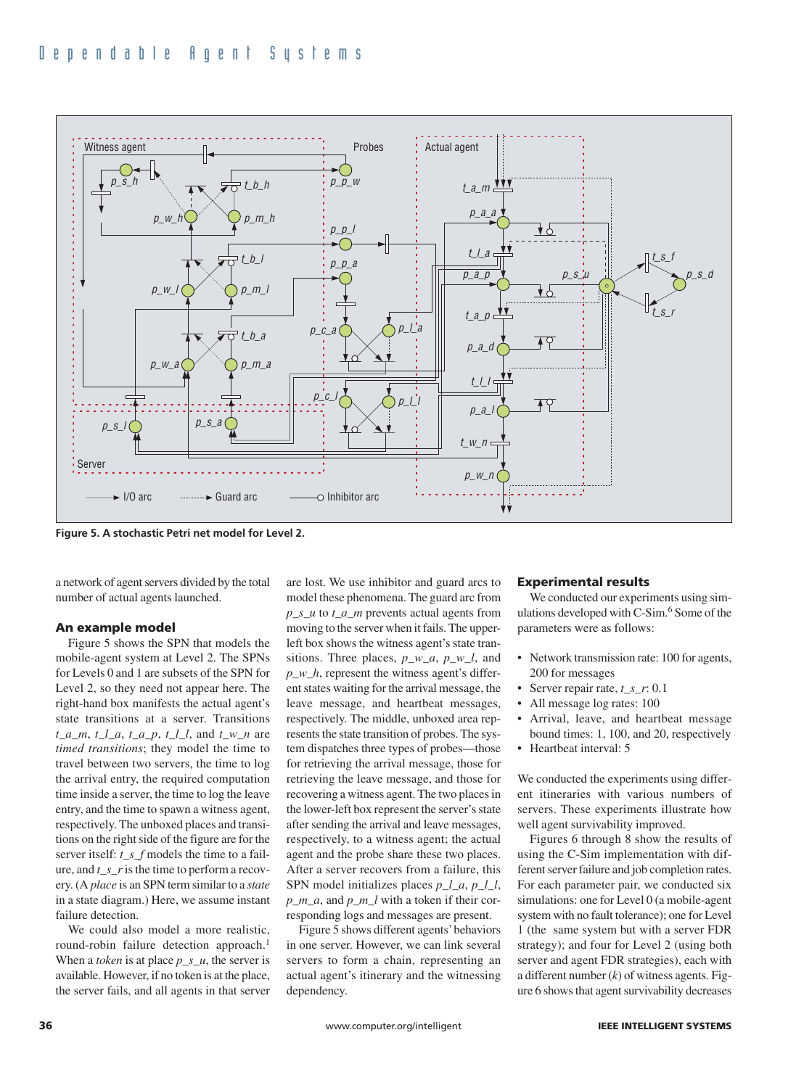

**Figure 5. A stochastic Petri net model for Level 2.**

a network of agent servers divided by the total number of actual agents launched.

#### **An example model**

Figure 5 shows the SPN that models the mobile-agent system at Level 2. The SPNs for Levels 0 and 1 are subsets of the SPN for Level 2, so they need not appear here. The right-hand box manifests the actual agent's state transitions at a server. Transitions *t\_a\_m*, *t\_l\_a*, *t\_a\_p*, *t\_l\_l*, and *t\_w\_n* are *timed transitions*; they model the time to travel between two servers, the time to log the arrival entry, the required computation time inside a server, the time to log the leave entry, and the time to spawn a witness agent, respectively. The unboxed places and transitions on the right side of the figure are for the server itself: *t\_s\_f* models the time to a failure, and *t\_s\_r*is the time to perform a recovery. (A *place* is an SPN term similar to a *state* in a state diagram.) Here, we assume instant failure detection.

We could also model a more realistic, round-robin failure detection approach.<sup>1</sup> When a *token* is at place *p\_s\_u*, the server is available. However, if no token is at the place, the server fails, and all agents in that server are lost. We use inhibitor and guard arcs to model these phenomena. The guard arc from *p\_s\_u* to *t\_a\_m* prevents actual agents from moving to the server when it fails. The upperleft box shows the witness agent's state transitions. Three places, *p\_w\_a*, *p\_w\_l*, and *p\_w\_h*, represent the witness agent's different states waiting for the arrival message, the leave message, and heartbeat messages, respectively. The middle, unboxed area represents the state transition of probes. The system dispatches three types of probes—those for retrieving the arrival message, those for retrieving the leave message, and those for recovering a witness agent. The two places in the lower-left box represent the server's state after sending the arrival and leave messages, respectively, to a witness agent; the actual agent and the probe share these two places. After a server recovers from a failure, this SPN model initializes places *p\_l\_a*, *p\_l\_l*, *p\_m\_a*, and *p\_m\_l* with a token if their corresponding logs and messages are present.

Figure 5 shows different agents'behaviors in one server. However, we can link several servers to form a chain, representing an actual agent's itinerary and the witnessing dependency.

#### **Experimental results**

We conducted our experiments using simulations developed with C-Sim.<sup>6</sup> Some of the parameters were as follows:

- Network transmission rate: 100 for agents, 200 for messages
- Server repair rate, *t\_s\_r*: 0.1
- All message log rates: 100
- Arrival, leave, and heartbeat message bound times: 1, 100, and 20, respectively
- Heartbeat interval: 5

We conducted the experiments using different itineraries with various numbers of servers. These experiments illustrate how well agent survivability improved.

Figures 6 through 8 show the results of using the C-Sim implementation with different server failure and job completion rates. For each parameter pair, we conducted six simulations: one for Level 0 (a mobile-agent system with no fault tolerance); one for Level 1 (the same system but with a server FDR strategy); and four for Level 2 (using both server and agent FDR strategies), each with a different number (*k*) of witness agents. Figure 6 shows that agent survivability decreases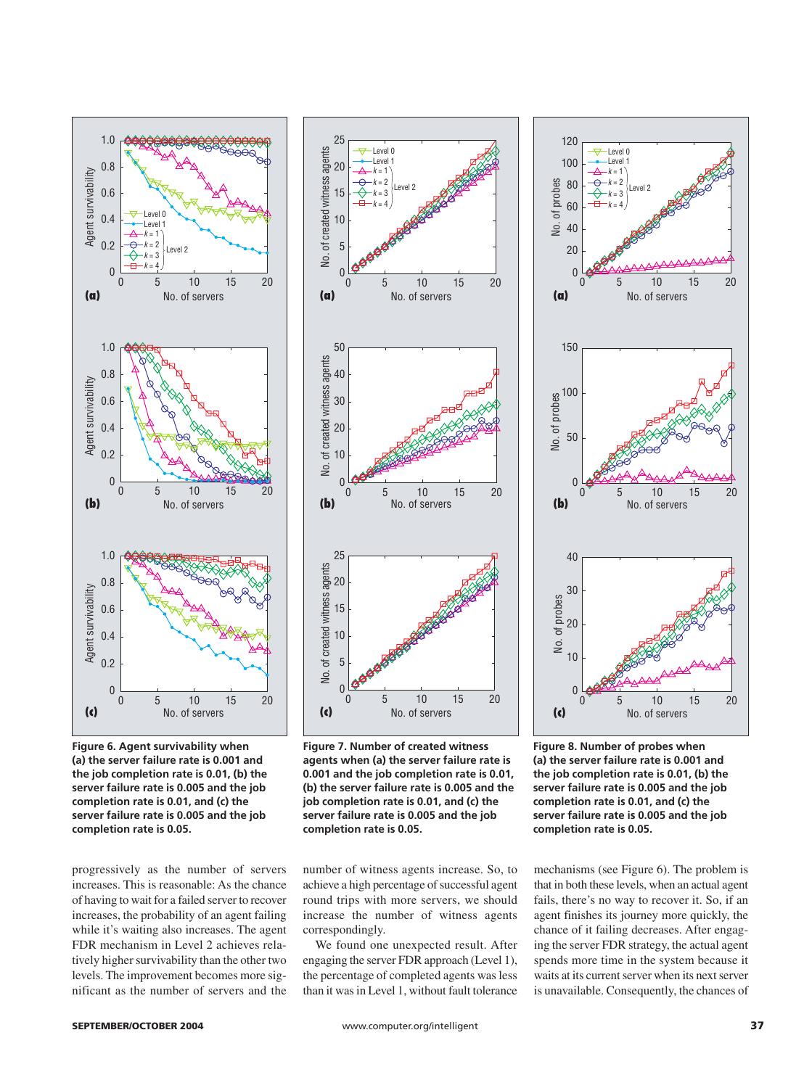

**Figure 6. Agent survivability when (a) the server failure rate is 0.001 and the job completion rate is 0.01, (b) the server failure rate is 0.005 and the job completion rate is 0.01, and (c) the server failure rate is 0.005 and the job completion rate is 0.05.**

progressively as the number of servers increases. This is reasonable: As the chance of having to wait for a failed server to recover increases, the probability of an agent failing while it's waiting also increases. The agent FDR mechanism in Level 2 achieves relatively higher survivability than the other two levels. The improvement becomes more significant as the number of servers and the



**Figure 7. Number of created witness agents when (a) the server failure rate is 0.001 and the job completion rate is 0.01, (b) the server failure rate is 0.005 and the job completion rate is 0.01, and (c) the server failure rate is 0.005 and the job completion rate is 0.05.**

number of witness agents increase. So, to achieve a high percentage of successful agent round trips with more servers, we should increase the number of witness agents correspondingly.

We found one unexpected result. After engaging the server FDR approach (Level 1), the percentage of completed agents was less than it was in Level 1, without fault tolerance



**Figure 8. Number of probes when (a) the server failure rate is 0.001 and the job completion rate is 0.01, (b) the server failure rate is 0.005 and the job completion rate is 0.01, and (c) the server failure rate is 0.005 and the job completion rate is 0.05.**

mechanisms (see Figure 6). The problem is that in both these levels, when an actual agent fails, there's no way to recover it. So, if an agent finishes its journey more quickly, the chance of it failing decreases. After engaging the server FDR strategy, the actual agent spends more time in the system because it waits at its current server when its next server is unavailable. Consequently, the chances of